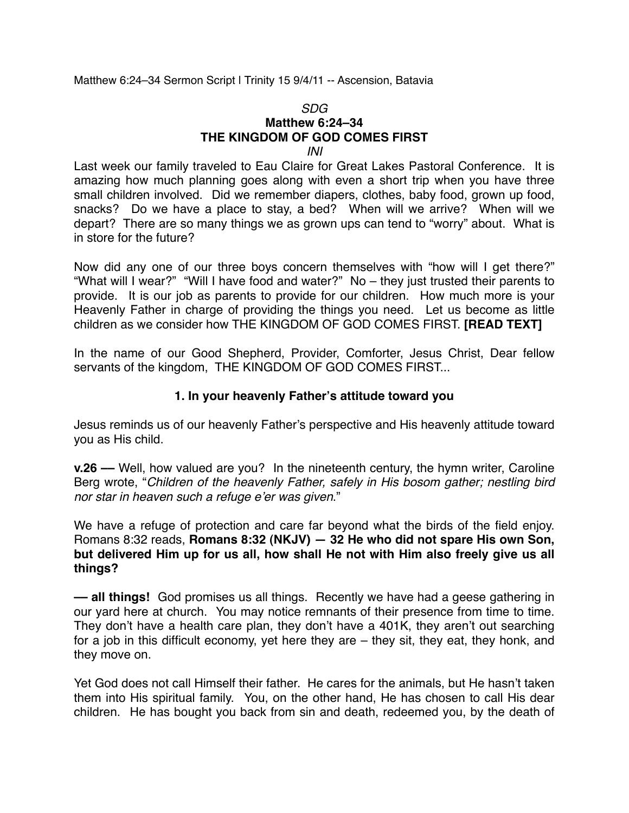Matthew 6:24–34 Sermon Script | Trinity 15 9/4/11 -- Ascension, Batavia

## *SDG* **Matthew 6:24–34 THE KINGDOM OF GOD COMES FIRST**

## *INI*

Last week our family traveled to Eau Claire for Great Lakes Pastoral Conference. It is amazing how much planning goes along with even a short trip when you have three small children involved. Did we remember diapers, clothes, baby food, grown up food, snacks? Do we have a place to stay, a bed? When will we arrive? When will we depart? There are so many things we as grown ups can tend to "worry" about. What is in store for the future?

Now did any one of our three boys concern themselves with "how will I get there?" "What will I wear?" "Will I have food and water?" No – they just trusted their parents to provide. It is our job as parents to provide for our children. How much more is your Heavenly Father in charge of providing the things you need. Let us become as little children as we consider how THE KINGDOM OF GOD COMES FIRST. **[READ TEXT]**

In the name of our Good Shepherd, Provider, Comforter, Jesus Christ, Dear fellow servants of the kingdom, THE KINGDOM OF GOD COMES FIRST...

## **1. In your heavenly Father's attitude toward you**

Jesus reminds us of our heavenly Father's perspective and His heavenly attitude toward you as His child.

**v.26 ––** Well, how valued are you? In the nineteenth century, the hymn writer, Caroline Berg wrote, "*Children of the heavenly Father, safely in His bosom gather; nestling bird nor star in heaven such a refuge e*'*er was given*."

We have a refuge of protection and care far beyond what the birds of the field enjoy. Romans 8:32 reads, **Romans 8:32 (NKJV) — 32 He who did not spare His own Son, but delivered Him up for us all, how shall He not with Him also freely give us all things?**

**–– all things!** God promises us all things. Recently we have had a geese gathering in our yard here at church. You may notice remnants of their presence from time to time. They don't have a health care plan, they don't have a 401K, they aren't out searching for a job in this difficult economy, yet here they are – they sit, they eat, they honk, and they move on.

Yet God does not call Himself their father. He cares for the animals, but He hasn't taken them into His spiritual family. You, on the other hand, He has chosen to call His dear children. He has bought you back from sin and death, redeemed you, by the death of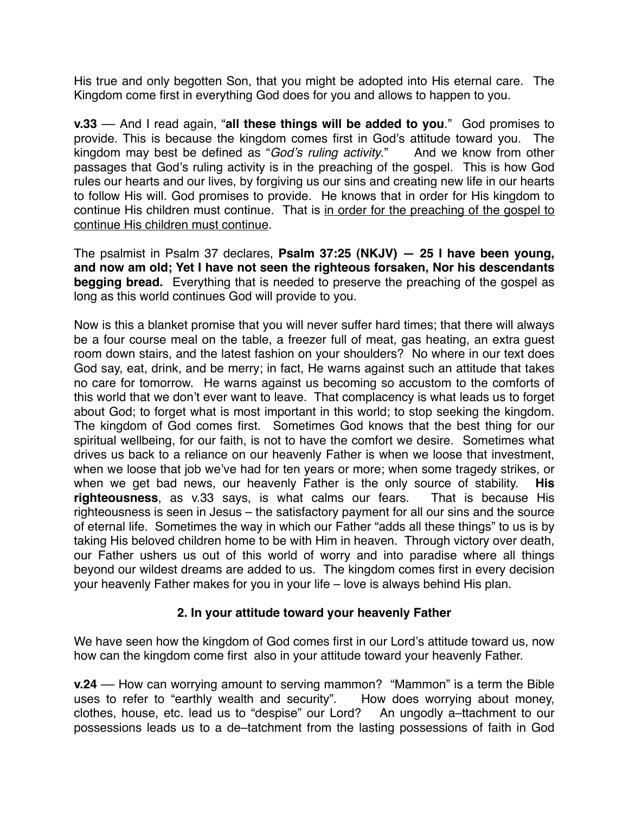His true and only begotten Son, that you might be adopted into His eternal care. The Kingdom come first in everything God does for you and allows to happen to you.

**v.33** –– And I read again, "**all these things will be added to you**." God promises to provide. This is because the kingdom comes first in God's attitude toward you. The kingdom may best be defined as "*God*'*s ruling activity*." And we know from other passages that God's ruling activity is in the preaching of the gospel. This is how God rules our hearts and our lives, by forgiving us our sins and creating new life in our hearts to follow His will. God promises to provide. He knows that in order for His kingdom to continue His children must continue. That is in order for the preaching of the gospel to continue His children must continue.

The psalmist in Psalm 37 declares, **Psalm 37:25 (NKJV) — 25 I have been young, and now am old; Yet I have not seen the righteous forsaken, Nor his descendants begging bread.** Everything that is needed to preserve the preaching of the gospel as long as this world continues God will provide to you.

Now is this a blanket promise that you will never suffer hard times; that there will always be a four course meal on the table, a freezer full of meat, gas heating, an extra guest room down stairs, and the latest fashion on your shoulders? No where in our text does God say, eat, drink, and be merry; in fact, He warns against such an attitude that takes no care for tomorrow. He warns against us becoming so accustom to the comforts of this world that we don't ever want to leave. That complacency is what leads us to forget about God; to forget what is most important in this world; to stop seeking the kingdom. The kingdom of God comes first. Sometimes God knows that the best thing for our spiritual wellbeing, for our faith, is not to have the comfort we desire. Sometimes what drives us back to a reliance on our heavenly Father is when we loose that investment, when we loose that job we've had for ten years or more; when some tragedy strikes, or when we get bad news, our heavenly Father is the only source of stability. **His righteousness**, as v.33 says, is what calms our fears. That is because His righteousness is seen in Jesus – the satisfactory payment for all our sins and the source of eternal life. Sometimes the way in which our Father "adds all these things" to us is by taking His beloved children home to be with Him in heaven. Through victory over death, our Father ushers us out of this world of worry and into paradise where all things beyond our wildest dreams are added to us. The kingdom comes first in every decision your heavenly Father makes for you in your life – love is always behind His plan.

## **2. In your attitude toward your heavenly Father**

We have seen how the kingdom of God comes first in our Lord's attitude toward us, now how can the kingdom come first also in your attitude toward your heavenly Father.

**v.24** –– How can worrying amount to serving mammon? "Mammon" is a term the Bible uses to refer to "earthly wealth and security". How does worrying about money, clothes, house, etc. lead us to "despise" our Lord? An ungodly a–ttachment to our possessions leads us to a de–tatchment from the lasting possessions of faith in God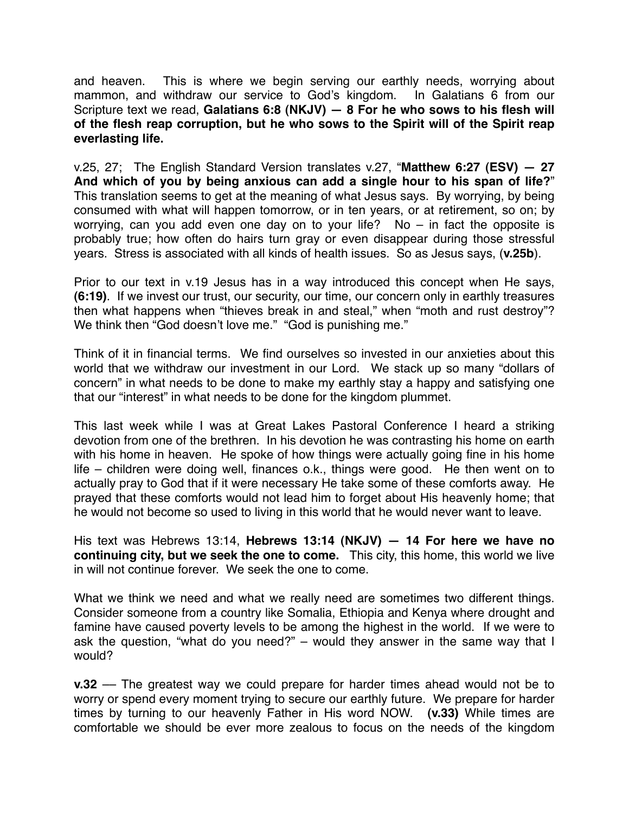and heaven. This is where we begin serving our earthly needs, worrying about mammon, and withdraw our service to God's kingdom. In Galatians 6 from our Scripture text we read, **Galatians 6:8 (NKJV) — 8 For he who sows to his flesh will of the flesh reap corruption, but he who sows to the Spirit will of the Spirit reap everlasting life.**

v.25, 27; The English Standard Version translates v.27, "**Matthew 6:27 (ESV) — 27 And which of you by being anxious can add a single hour to his span of life?**" This translation seems to get at the meaning of what Jesus says. By worrying, by being consumed with what will happen tomorrow, or in ten years, or at retirement, so on; by worrying, can you add even one day on to your life? No  $-$  in fact the opposite is probably true; how often do hairs turn gray or even disappear during those stressful years. Stress is associated with all kinds of health issues. So as Jesus says, (**v.25b**).

Prior to our text in v.19 Jesus has in a way introduced this concept when He says, **(6:19)**. If we invest our trust, our security, our time, our concern only in earthly treasures then what happens when "thieves break in and steal," when "moth and rust destroy"? We think then "God doesn't love me." "God is punishing me."

Think of it in financial terms. We find ourselves so invested in our anxieties about this world that we withdraw our investment in our Lord. We stack up so many "dollars of concern" in what needs to be done to make my earthly stay a happy and satisfying one that our "interest" in what needs to be done for the kingdom plummet.

This last week while I was at Great Lakes Pastoral Conference I heard a striking devotion from one of the brethren. In his devotion he was contrasting his home on earth with his home in heaven. He spoke of how things were actually going fine in his home life – children were doing well, finances o.k., things were good. He then went on to actually pray to God that if it were necessary He take some of these comforts away. He prayed that these comforts would not lead him to forget about His heavenly home; that he would not become so used to living in this world that he would never want to leave.

His text was Hebrews 13:14, **Hebrews 13:14 (NKJV) — 14 For here we have no continuing city, but we seek the one to come.** This city, this home, this world we live in will not continue forever. We seek the one to come.

What we think we need and what we really need are sometimes two different things. Consider someone from a country like Somalia, Ethiopia and Kenya where drought and famine have caused poverty levels to be among the highest in the world. If we were to ask the question, "what do you need?" – would they answer in the same way that I would?

**v.32** — The greatest way we could prepare for harder times ahead would not be to worry or spend every moment trying to secure our earthly future. We prepare for harder times by turning to our heavenly Father in His word NOW. **(v.33)** While times are comfortable we should be ever more zealous to focus on the needs of the kingdom